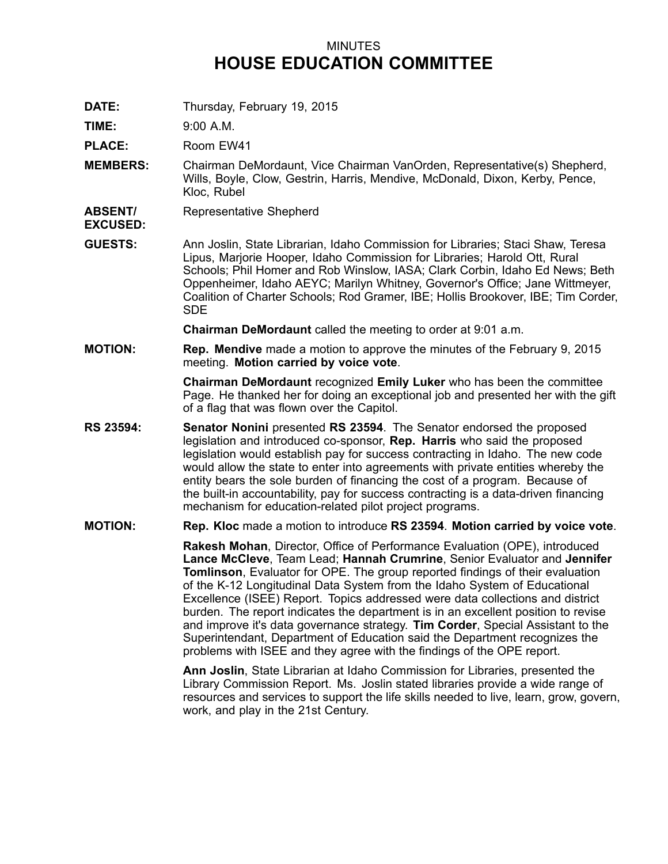## MINUTES **HOUSE EDUCATION COMMITTEE**

**DATE:** Thursday, February 19, 2015

**TIME:** 9:00 A.M.

**PLACE:** Room EW41

- **MEMBERS:** Chairman DeMordaunt, Vice Chairman VanOrden, Representative(s) Shepherd, Wills, Boyle, Clow, Gestrin, Harris, Mendive, McDonald, Dixon, Kerby, Pence, Kloc, Rubel
- **ABSENT/** Representative Shepherd
- **EXCUSED:**
- **GUESTS:** Ann Joslin, State Librarian, Idaho Commission for Libraries; Staci Shaw, Teresa Lipus, Marjorie Hooper, Idaho Commission for Libraries; Harold Ott, Rural Schools; Phil Homer and Rob Winslow, IASA; Clark Corbin, Idaho Ed News; Beth Oppenheimer, Idaho AEYC; Marilyn Whitney, Governor's Office; Jane Wittmeyer, Coalition of Charter Schools; Rod Gramer, IBE; Hollis Brookover, IBE; Tim Corder, SDE

**Chairman DeMordaunt** called the meeting to order at 9:01 a.m.

**MOTION: Rep. Mendive** made <sup>a</sup> motion to approve the minutes of the February 9, 2015 meeting. **Motion carried by voice vote**.

> **Chairman DeMordaunt** recognized **Emily Luker** who has been the committee Page. He thanked her for doing an exceptional job and presented her with the gift of <sup>a</sup> flag that was flown over the Capitol.

**RS 23594: Senator Nonini** presented **RS 23594**. The Senator endorsed the proposed legislation and introduced co-sponsor, **Rep. Harris** who said the proposed legislation would establish pay for success contracting in Idaho. The new code would allow the state to enter into agreements with private entities whereby the entity bears the sole burden of financing the cost of <sup>a</sup> program. Because of the built-in accountability, pay for success contracting is <sup>a</sup> data-driven financing mechanism for education-related pilot project programs.

## **MOTION: Rep. Kloc** made <sup>a</sup> motion to introduce **RS 23594**. **Motion carried by voice vote**.

**Rakesh Mohan**, Director, Office of Performance Evaluation (OPE), introduced **Lance McCleve**, Team Lead; **Hannah Crumrine**, Senior Evaluator and **Jennifer Tomlinson**, Evaluator for OPE. The group reported findings of their evaluation of the K-12 Longitudinal Data System from the Idaho System of Educational Excellence (ISEE) Report. Topics addressed were data collections and district burden. The report indicates the department is in an excellent position to revise and improve it's data governance strategy. **Tim Corder**, Special Assistant to the Superintendant, Department of Education said the Department recognizes the problems with ISEE and they agree with the findings of the OPE report.

**Ann Joslin**, State Librarian at Idaho Commission for Libraries, presented the Library Commission Report. Ms. Joslin stated libraries provide <sup>a</sup> wide range of resources and services to support the life skills needed to live, learn, grow, govern, work, and play in the 21st Century.